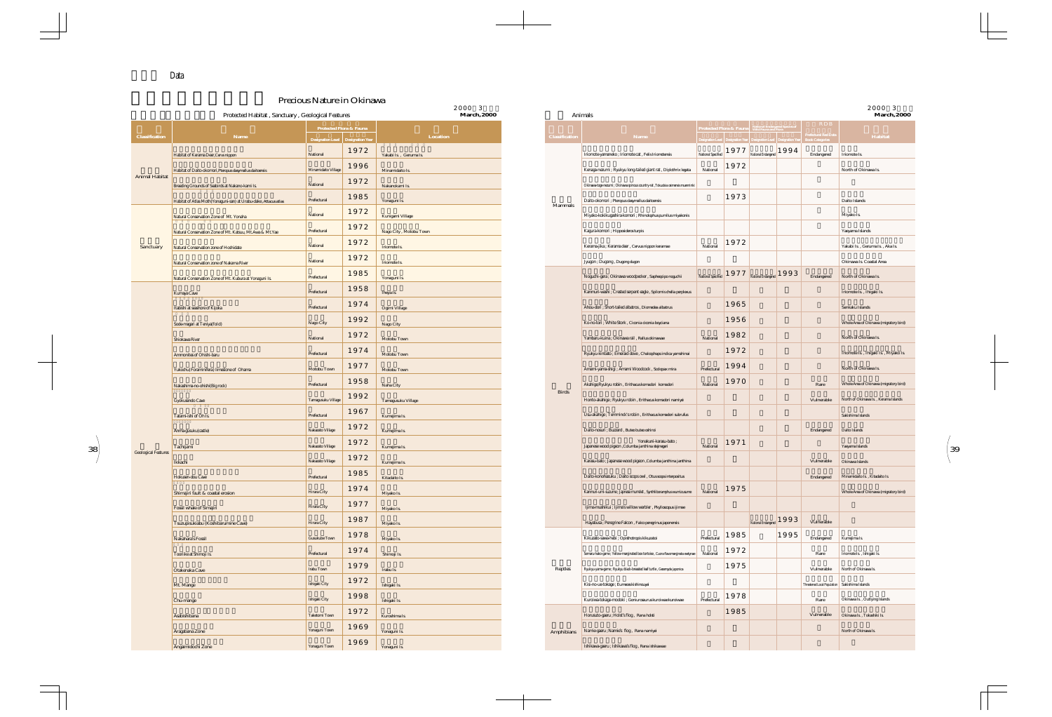



|                            | Protected Habitat, Sanctuary, Geological Features                |                                                               | $2000 - 3$<br>March, 2000 |                                         |                                                   | Animals                                                                                    |             |      |                                                                                                                                                                                                                                                                                                                                                                                                                                                                                                  |                                                 |                      | 2000 3<br>March, 2000                  |  |
|----------------------------|------------------------------------------------------------------|---------------------------------------------------------------|---------------------------|-----------------------------------------|---------------------------------------------------|--------------------------------------------------------------------------------------------|-------------|------|--------------------------------------------------------------------------------------------------------------------------------------------------------------------------------------------------------------------------------------------------------------------------------------------------------------------------------------------------------------------------------------------------------------------------------------------------------------------------------------------------|-------------------------------------------------|----------------------|----------------------------------------|--|
| <b>Classification</b>      | Name                                                             | Protected Flora & Fauna<br>Designation Level Designation Year | Location                  |                                         | Classification                                    | Name                                                                                       |             |      | Protected Flora & Fauna   National Endangered Species of<br>$\left.\text{Designation Level}\right \text{ Designation Year}\right \text{ Designation Level}\right \text{Designation Year}\right \text{ Designation Year}\right \text{ 12.1:}\text{ 14.1:}\text{ 15.1:}\text{ 16.1:}\text{ 17.1:}\text{ 17.1:}\text{ 18.1:}\text{ 18.1:}\text{ 18.1:}\text{ 18.1:}\text{ 18.1:}\text{ 18.1:}\text{ 18.1:}\text{ 18.1:}\text{ 18.1:}\text{ 18.1:}\text{ 18.1:}\text{ 18.1:}\text{ 18.1:}\text{ 18.$ |                                                 | <b>RDB</b>           | Habitat                                |  |
|                            | Habitat of Kerama Deer, Cervs nippon                             | 1972<br>National                                              | Yakabi Is., Geruma Is.    |                                         |                                                   | Iriomote-yamaneko ; Iriomote cat , Felis Iriomotensis                                      |             |      | National Specified 1977 National Endangered 1994                                                                                                                                                                                                                                                                                                                                                                                                                                                 |                                                 | Endangered           | Iriomote Is.                           |  |
| <b>Animal Habitat</b>      | Habitat of Daito-okomori, Pteropus dasymallus daitoensis         | 1996<br>Minamidaito Village                                   | Minamidaito Is.           |                                         |                                                   | Kenaga-nezumi ; Ryukyu long-tailed giant rat , Diplothrix legata                           | National    | 1972 |                                                                                                                                                                                                                                                                                                                                                                                                                                                                                                  |                                                 |                      | North of Okinawa Is.                   |  |
|                            | Breeding Grounds of Seabirds at Nakano-kami Is.                  | 1972<br>National                                              | Nakanokami Is.            |                                         |                                                   | Okinawa-toge-nezumi ; Okinawa spinous country-rat , Tokudaia osimensis muenninki           |             |      |                                                                                                                                                                                                                                                                                                                                                                                                                                                                                                  |                                                 |                      |                                        |  |
|                            | Habitat of Atlas Moth(Yonaguni-san) at Urabu-dake, Attacus atlas | 1985<br>Prefectural                                           | Yonaguni Is.              |                                         | Mammals                                           | Daito-okomori ; Pteropus dasymallus daitoensis                                             |             | 1973 |                                                                                                                                                                                                                                                                                                                                                                                                                                                                                                  |                                                 |                      | Daito Islands                          |  |
|                            | Natural Conservation Zone of Mt. Yonaha                          | 1972<br>National                                              | Kunigami Village          |                                         |                                                   | Miyako-kokikugashira-komori ; Rhinolophus pumilus miyakonis                                |             |      |                                                                                                                                                                                                                                                                                                                                                                                                                                                                                                  |                                                 |                      | Miyako Is.                             |  |
|                            | Natural Conservation Zone of Mt. Katsuu, Mt.Awa & Mt.Yae         | 1972<br>Prefectural<br>Nago City, Motobu Town                 |                           |                                         | Kagura-komori ; Hipposideros turpis               |                                                                                            |             |      |                                                                                                                                                                                                                                                                                                                                                                                                                                                                                                  |                                                 | Yaeyama Islands      |                                        |  |
| Sanctuary                  | Natural Conservation zone of Hoshidate                           | 1972<br>National                                              | Iriomote Is.              |                                         |                                                   | Kerama-jika ; Kerama deer, Cervus nippon keramae                                           | National    | 1972 |                                                                                                                                                                                                                                                                                                                                                                                                                                                                                                  |                                                 |                      | Yakabi Is., Geruma Is., Aka Is.        |  |
|                            | Natural Conservation zone of Nakama River                        | 1972<br>National                                              | Iriomote Is.              |                                         |                                                   | Jyugon ; Dugong, Dugong dugon                                                              |             |      |                                                                                                                                                                                                                                                                                                                                                                                                                                                                                                  |                                                 |                      | Okinawa Is. Coastal Area               |  |
|                            | Natural Conservation Zone of Mt. Kubura at Yonaguni Is.          | 1985<br>Prefectural                                           | Yonaguni Is.              |                                         |                                                   | Noguchi-gera ; Okinawa woodpecker, Sapheopipo noguchii                                     |             |      | National Specified 1977 National Endangered 1993                                                                                                                                                                                                                                                                                                                                                                                                                                                 |                                                 | Endangered           | North of Okinawa Is.                   |  |
|                            | Kumaya Cave                                                      | 1958<br>Prefectural                                           | Iheya Is.                 |                                         |                                                   | Kanmuri-washi ; Crested serpent eagle, Spilornis chella perplexus                          |             |      |                                                                                                                                                                                                                                                                                                                                                                                                                                                                                                  |                                                 |                      | Iriomote Is., Ihigaki Is.              |  |
|                            | Itabishi at seashore of Kijoka                                   | 1974<br>Prefectural                                           | Ogimi Village             |                                         |                                                   | Ahou-dori ; Short-tailed albatros, Diomedea albatrus                                       |             | 1965 |                                                                                                                                                                                                                                                                                                                                                                                                                                                                                                  |                                                 |                      | Senkaku Islands                        |  |
|                            | Sode-magari at Teniya(fold)                                      | 1992<br>Nago City                                             | Nago City                 |                                         |                                                   | Ko-no-tori ; White Stork, Ciconia ciconia boyciana                                         |             | 1956 |                                                                                                                                                                                                                                                                                                                                                                                                                                                                                                  |                                                 |                      | Whole Area of Okinawa (migratory bird) |  |
|                            | Shiokawa River                                                   | 1972<br>National                                              | Motobu Town               |                                         |                                                   | Yambaru-kuina ; Okinawa rail, Rallus okinawae                                              | National    | 1982 |                                                                                                                                                                                                                                                                                                                                                                                                                                                                                                  |                                                 |                      | North of Okinawa Is.                   |  |
|                            | Ammonites of Ohishi-baru                                         | 1974<br>Prefectural                                           | Motobu Town               |                                         |                                                   | Ryukyu-kinbato ; Emeraid dove, Chalcophaps indica yamahinai                                |             | 1972 |                                                                                                                                                                                                                                                                                                                                                                                                                                                                                                  |                                                 |                      | Iriomote Is., Ihigaki Is., Miyako Is.  |  |
|                            | Yukochu (Foraminifera) limestone of Ohama                        | 1977<br>Motobu Town                                           | Motobu Town               |                                         | Amami-yama-shigi ; Amami Woodcock , Scolopax mira | Prefectural                                                                                | 1994        |      |                                                                                                                                                                                                                                                                                                                                                                                                                                                                                                  |                                                 | North of Okinawa Is. |                                        |  |
|                            | Nakashima-no-ohishi(Big rock)                                    | 1958<br>Prefectural                                           | Naha City                 |                                         |                                                   | Akahige; Ryukyu robin, Erithacus komadori komadori                                         | National    | 1970 |                                                                                                                                                                                                                                                                                                                                                                                                                                                                                                  |                                                 | Rare                 | Whole Area of Okinawa (migratory bird) |  |
|                            | Gyokusendo Cave                                                  | 1992<br>Tamagusuku Village                                    | Tamagusuku Village        |                                         | Birds                                             | Honto-akahige ; Ryukyu robin , Erithacus komadori namiyei                                  |             |      |                                                                                                                                                                                                                                                                                                                                                                                                                                                                                                  |                                                 | Vulnerable           | North of Okinawa Is., Kerama Islands   |  |
|                            | Tatami-ishi of Oh Is.                                            | 1967<br>Prefectural                                           | Kumejima Is.              |                                         |                                                   | Usu-akahige ; Temminck's robin, Erithacus komadori subrufus                                |             |      |                                                                                                                                                                                                                                                                                                                                                                                                                                                                                                  |                                                 |                      | Sakishima Islands                      |  |
|                            | Anma-gusuku(castle)                                              | 1972<br>Nakazato Village                                      | Kumejima Is.              |                                         |                                                   | Daito-nosuri ; Buzzard, Buteo buteo oshiroi                                                |             |      |                                                                                                                                                                                                                                                                                                                                                                                                                                                                                                  |                                                 | Endangered           | Daito Islands                          |  |
|                            | Tachijami                                                        | 1972<br>Nakazato Village                                      | Kumejima Is.              |                                         |                                                   | Yonakuni-karasu-bato;<br>Japanese wood pigeon, Columba janthina stejnegeri                 | National    | 1971 |                                                                                                                                                                                                                                                                                                                                                                                                                                                                                                  |                                                 |                      | Yaeyama Islands                        |  |
| <b>Geological Features</b> | Ikkachi                                                          | 1972<br>Nakazato Village                                      | Kumejima Is.              |                                         |                                                   | Karasu-bato ; Japanese wood pigeon , Columba janthina janthina                             |             |      |                                                                                                                                                                                                                                                                                                                                                                                                                                                                                                  |                                                 | Vulnerable           | Okinawa Islands                        |  |
|                            | Hokusen-dou Cave                                                 | 1985<br>Prefectural                                           | Kitadaito Is.             |                                         |                                                   | Daito-konohazuku ; Daito scops owl , Otus scops interpositus                               |             |      |                                                                                                                                                                                                                                                                                                                                                                                                                                                                                                  |                                                 | Endangered           | Minamidaito Is., Kitadaito Is.         |  |
|                            | Shimajiri fault & coastal erosion                                | 1974<br>Hirara City                                           | Miyako Is.                |                                         |                                                   | Kanmuri-umi-suzume ; Japnese murrelet , Synthliboramphus wumizusume                        | National    | 1975 |                                                                                                                                                                                                                                                                                                                                                                                                                                                                                                  |                                                 |                      | Whole Area of Okinawa (migratory bird) |  |
|                            | Fossil whale of Simajiri                                         | 1977<br>Hirara City                                           | Miyako Is.                |                                         |                                                   | Ijima-mushikui ; Ijima's willow warbler , Pkylloscopus ijimae                              |             |      |                                                                                                                                                                                                                                                                                                                                                                                                                                                                                                  |                                                 |                      |                                        |  |
|                            | Tsuzupisukiabu (Koshibarumine Cave)                              | 1987<br>Hirara City                                           | Miyako Is.                |                                         |                                                   | Hayabusa ; Peregrine Falcon, Falco peregrinus japonensis                                   |             |      | National Endangered 1993                                                                                                                                                                                                                                                                                                                                                                                                                                                                         |                                                 | Vulnerable           |                                        |  |
|                            | Nakahara's Fossil                                                | 1978<br>Gusukube $\operatorname{Town}$                        | Miyako Is.                |                                         |                                                   | Kikuzato-sawa-hebi ; Opisthotropis kikuzatoi                                               | Prefectural | 1985 |                                                                                                                                                                                                                                                                                                                                                                                                                                                                                                  | 1995                                            | Endangered           | Kumejima Is.                           |  |
|                            | Tooriike at Shimoji Is.                                          | 1974<br>Prefectural                                           | Shimoji Is.               |                                         | Reptles                                           | Semaru-hako-game ; Yellow-marginated box tortoise , Cuora flavomarginata evelynae National |             | 1972 |                                                                                                                                                                                                                                                                                                                                                                                                                                                                                                  |                                                 | Rare                 | Iriomote Is., Ishigaki Is.             |  |
|                            | Otakenaka Cave                                                   | 1979<br>Irabu Town                                            | Irabu Is.                 |                                         |                                                   | Ryukyu-yama-game ; Ryukyu black-breasted leaf turtle, Geoemyda japonica                    |             | 1975 |                                                                                                                                                                                                                                                                                                                                                                                                                                                                                                  |                                                 | Vulnerable           | North of Okinawa Is.                   |  |
|                            | Mt. Mange                                                        | 1972<br>Ishigaki City<br>Ishigaki Is.                         |                           | Kisi-no-ue-tokage ; Eumeces kishinouyei |                                                   |                                                                                            |             |      |                                                                                                                                                                                                                                                                                                                                                                                                                                                                                                  | Threatened Local Population   Sakishima Islands |                      |                                        |  |
|                            | Chu-mange                                                        | 1998<br>Ishigaki City                                         | Ishigaki Is.              |                                         |                                                   | Kuroiwa-tokage-modoki ; Goniurosaurus kuroiwae kuroiwae                                    | Prefectural | 1978 |                                                                                                                                                                                                                                                                                                                                                                                                                                                                                                  |                                                 | Rare                 | Okinawa Is., Outlying Islands          |  |
|                            | Asabishibana                                                     | 1972<br>Taketomi Town                                         | Kuroshima Is.             |                                         |                                                   | Horusuto-gaeru ; Holst's flog, Rana holsti                                                 |             | 1985 |                                                                                                                                                                                                                                                                                                                                                                                                                                                                                                  |                                                 | Vulnerable           | Okinawa Is., Tokashiki Is.             |  |
|                            | Aragabana Zone                                                   | 1969<br>Yonaguni Town                                         | Yonaguni Is.              |                                         | Amphibians                                        | Namie-gaeru ; Namie's flog, Rana namiyei                                                   |             |      |                                                                                                                                                                                                                                                                                                                                                                                                                                                                                                  |                                                 |                      | North of Okinawa Is.                   |  |
|                            | Angaimidochi Zone                                                | 1969<br>Yonaguni Town                                         | Yonaguni Is.              |                                         |                                                   | Ishikawa-gaeru ; Ishikawa's flog, Rana ishikawae                                           |             |      |                                                                                                                                                                                                                                                                                                                                                                                                                                                                                                  |                                                 |                      |                                        |  |
|                            |                                                                  |                                                               |                           |                                         |                                                   |                                                                                            |             |      |                                                                                                                                                                                                                                                                                                                                                                                                                                                                                                  |                                                 |                      |                                        |  |

| March, 2000 |  |                       | Animals                                                                                                             |                         |      |                                                                            |      |                                                       | March, 2000                            |
|-------------|--|-----------------------|---------------------------------------------------------------------------------------------------------------------|-------------------------|------|----------------------------------------------------------------------------|------|-------------------------------------------------------|----------------------------------------|
|             |  |                       |                                                                                                                     | Protected Flora & Fauna |      | National Endangered Species of<br>Wild Fauna and Flora                     |      | <b>RDB</b>                                            |                                        |
|             |  | <b>Classification</b> | Name                                                                                                                |                         |      | Designation Level   Designation Year   Designation Level   Designation Yea |      | <b>Prefectural Red Data</b><br><b>Jook Categories</b> | Habitat                                |
|             |  |                       | Iriomote-yamaneko ; Iriomote cat, Felis Iriomotensis                                                                | National Specified      | 1977 | National Endangered 1994                                                   |      | Endangered                                            | Iriomote Is.                           |
|             |  |                       | Kenaga-nezumi ; Ryukyu long-tailed giant rat , Diplothrix legata                                                    | National                | 1972 |                                                                            |      |                                                       | North of Okinawa Is.                   |
|             |  |                       | Okinawa-toge-nezumi ; Okinawa spinous country-rat , Tokudaia osimensis muenninki                                    |                         |      |                                                                            |      |                                                       |                                        |
|             |  | Mammals               | Daito-okomori ; Pteropus dasymallus daitoensis                                                                      |                         | 1973 |                                                                            |      |                                                       | Daito Islands                          |
|             |  |                       | Miyako-kokikugashira-komori; Rhinolophus pumilus miyakonis                                                          |                         |      |                                                                            |      |                                                       | Miyako Is.                             |
|             |  |                       | Kagura-komori ; Hipposideros turpis                                                                                 |                         |      |                                                                            |      |                                                       | Yaeyama Islands                        |
|             |  |                       | Kerama-jika ; Kerama deer, Cervus nippon keramae                                                                    | National                | 1972 |                                                                            |      |                                                       | Yakabi Is., Geruma Is., Aka Is.        |
|             |  |                       | Jyugon ; Dugong, Dugong dugon                                                                                       |                         |      |                                                                            |      |                                                       | Okinawa Is. Coastal Area               |
|             |  |                       | Noguchi-gera ; Okinawa woodpecker, Sapheopipo noguchii                                                              |                         |      | National Specified 1977 National Endangered 1993                           |      | Endangered                                            | North of Okinawa Is.                   |
|             |  |                       | Kanmuri-washi ; Crested serpent eagle, Spilornis chella perplexus                                                   |                         |      |                                                                            |      |                                                       | Iriomote Is., Ihigaki Is.              |
|             |  |                       | Ahou-dori ; Short-tailed albatros, Diomedea albatrus                                                                |                         | 1965 |                                                                            |      |                                                       | Senkaku Islands                        |
|             |  |                       | Ko-no-tori ; White Stork, Ciconia ciconia boyciana                                                                  |                         | 1956 |                                                                            |      |                                                       | Whole Area of Okinawa (migratory bird) |
|             |  |                       | Yambaru-kuina ; Okinawa rail, Rallus okinawae                                                                       | National                | 1982 |                                                                            |      |                                                       | North of Okinawa Is.                   |
|             |  |                       | Ryukyu-kinbato ; Emeraid dove, Chalcophaps indica yamahinai                                                         |                         | 1972 |                                                                            |      |                                                       | Iriomote Is., Ihigaki Is., Miyako Is.  |
|             |  |                       | Amami-yama-shigi ; Amami Woodcock , Scolopax mira                                                                   | Prefectural             | 1994 |                                                                            |      |                                                       | North of Okinawa Is.                   |
|             |  |                       | Akahige; Ryukyu robin, Erithacus komadori komadori                                                                  | National                | 1970 |                                                                            |      | Rare                                                  | Whole Area of Okinawa (migratory bird) |
|             |  | <b>Birds</b>          | Honto-akahige ; Ryukyu robin, Erithacus komadori namiyei                                                            |                         |      |                                                                            |      | Vulnerable                                            | North of Okinawa Is., Kerama Islands   |
|             |  |                       | Usu-akahige ; Temminck's robin, Erithacus komadori subrufus                                                         |                         |      |                                                                            |      |                                                       | Sakishima Islands                      |
|             |  |                       | Daito-nosuri ; Buzzard, Buteo buteo oshiroi                                                                         |                         |      |                                                                            |      | Endangered                                            | Daito Islands                          |
|             |  |                       | $\label{eq:con} \textbf{Yonakuni-karasu-bato} \ ;$ Japanese wood pigeon<br>, $\textit{Columba janthina stejnegeri}$ | National                | 1971 |                                                                            |      |                                                       | Yaeyama Islands                        |
|             |  |                       | Karasu-bato ; Japanese wood pigeon , Columba janthina janthina                                                      |                         |      |                                                                            |      | Vulnerable                                            | Okinawa Islands                        |
|             |  |                       | Daito-konohazuku ; Daito scops owl , Otus scops interpositus                                                        |                         |      |                                                                            |      | Endangered                                            | Minamidaito Is., Kitadaito Is.         |
|             |  |                       | Kanmuri-umi-suzume ; Japnese murrelet , Synthliboramphus wumizusume                                                 | National                | 1975 |                                                                            |      |                                                       | Whole Area of Okinawa (migratory bird) |
|             |  |                       | Ijima-mushikui ; Ijima's willow warbler , Pkylloscopus ijimae                                                       |                         |      |                                                                            |      |                                                       |                                        |
|             |  |                       | Hayabusa ; Peregrine Falcon, Falco peregrinus japonensis                                                            |                         |      | National Endangered 1993                                                   |      | Vulnerable                                            |                                        |
|             |  |                       | Kikuzato-sawa-hebi ; Opisthotropis kikuzatoi                                                                        | Prefectural             | 1985 |                                                                            | 1995 | Endangered                                            | Kumejima Is.                           |
|             |  |                       | Semaru-hako-game ; Yellow-marginated box tortoise, Cuora flavomarginata evelynae                                    | National                | 1972 |                                                                            |      | Rare                                                  | Iriomote Is., Ishigaki Is.             |
|             |  | Reptles               | Ryukyu-yama-game ; Ryukyu black-breasted leaf turtle , Geoemyda japonica                                            |                         | 1975 |                                                                            |      | Vulnerable                                            | North of Okinawa Is.                   |
|             |  |                       | Kisi-no-ue-tokage ; Eumeces kishinouyei                                                                             |                         |      |                                                                            |      | Threatened Local Population                           | Sakishima Islands                      |
|             |  |                       | Kuroiwa-tokage-modoki ; Goniurosaurus kuroiwae kuroiwae                                                             | Prefectural             | 1978 |                                                                            |      | Rare                                                  | Okinawa Is., Outlying Islands          |
|             |  |                       | Horusuto-gaeru ; Holst's flog, Rana holsti                                                                          |                         | 1985 |                                                                            |      | Vulnerable                                            | Okinawa Is., Tokashiki Is.             |
|             |  | Amphibians            | Namie-gaeru ; Namie's flog, Rana namiyei                                                                            |                         |      |                                                                            |      |                                                       | North of Okinawa Is.                   |
|             |  |                       | Ishikawa-gaeru ; Ishikawa's flog, Rana ishikawae                                                                    |                         |      |                                                                            |      |                                                       |                                        |

## Precious Nature in Okinawa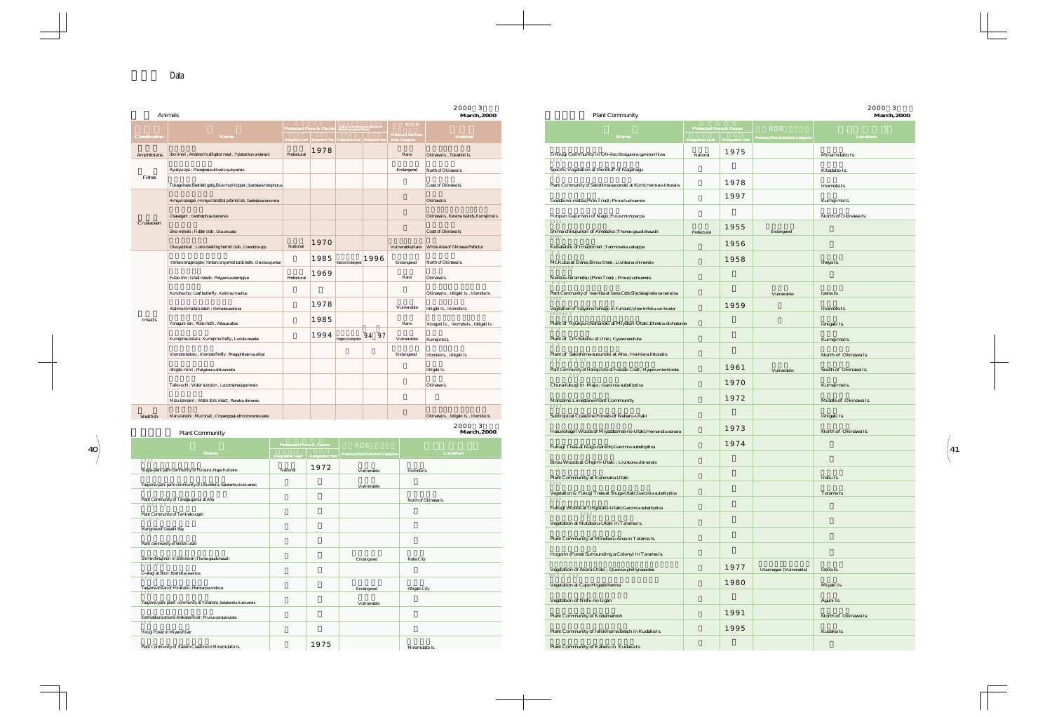|                                                                            | Animals                                                                       |                         |      |                                                                                        |                                                                                                                                                                                                                                                                                                                              | <b>March, 2000</b>                               | <b>Plant Community</b>                                                   |             |                         |                                                                                          | <b>March, 2000</b>    |
|----------------------------------------------------------------------------|-------------------------------------------------------------------------------|-------------------------|------|----------------------------------------------------------------------------------------|------------------------------------------------------------------------------------------------------------------------------------------------------------------------------------------------------------------------------------------------------------------------------------------------------------------------------|--------------------------------------------------|--------------------------------------------------------------------------|-------------|-------------------------|------------------------------------------------------------------------------------------|-----------------------|
| <b>Classification</b>                                                      | Name                                                                          |                         |      | Protected Flora & Fauna   National Endangered Species of                               | <b>RDB</b><br>$\begin{tabular}{ l l } \hline \text{position Level} & \text{Designation Year} \\ \hline \text{Designation Level} & \text{Designation Year} \\ \hline \end{tabular} \begin{tabular}{ l l } \hline \text{Prefectural Red Data} \\ \hline \text{Boolean Year} & \text{Designation Year} \\ \hline \end{tabular}$ | Habitat                                          | Name                                                                     |             | Protected Flora & Fauna | <b>RDB</b><br>Designation Level   Designation Year   Prefectural Red Data Book Categorie | Location              |
| Amphibians   Ibo-imori ; Anderson's alligator newt, Tylototriton andersoni |                                                                               | Prefectural             | 1978 |                                                                                        | Rare                                                                                                                                                                                                                                                                                                                         | Okinawa Is., Tokashiki Is.                       | Ohirugi Community in Oh-ike ; Braguiera gymnorrhiza                      | National    | 1975                    |                                                                                          | Minamidaito Is.       |
|                                                                            | Ryukyu-ayu ; Plecoglossus altivelis ryukyuensis                               |                         |      |                                                                                        | Endangered                                                                                                                                                                                                                                                                                                                   | North of Okinawa Is.                             | Specific Vegetation at the Bluff of Nagahagu                             |             |                         |                                                                                          | Kitadaito Is.         |
| Fishes                                                                     | Tokage-haze; Bearded goby, Blue mud-hopper, Scartelaos histophorus            |                         |      |                                                                                        |                                                                                                                                                                                                                                                                                                                              | Coast of Okinawa Is.                             | Plant Community of Sakishima-suoonoki at Komi; Heritiera littoralis      |             | 1978                    |                                                                                          | Iriomote Is.          |
|                                                                            | Himeyuri-sawagani ; Himeyuri terrestrial potamid crab, Geothelphusa tenuimana |                         |      |                                                                                        |                                                                                                                                                                                                                                                                                                                              | Okinawa Is.                                      | Goeda-no-matsu(Pine Tree); Pinus luchuensis                              |             | 1997                    |                                                                                          | Kumejima Is.          |
|                                                                            | Osawagani ; Geothelphusa levicervix                                           |                         |      |                                                                                        |                                                                                                                                                                                                                                                                                                                              | Okinawa Is., Kerama Islands, Kumejima Is.        | Hinpun Gajumaru of Nago; Ficus microcarpa                                |             |                         |                                                                                          | North of Okinawa Is.  |
| Crustacean                                                                 | Shio-maneki ; Fidder crab, Uca arcuata                                        |                         |      |                                                                                        |                                                                                                                                                                                                                                                                                                                              | Coast of Okinawa Is.                             | Shima-chisujunori of Amesoko; Thorea gaudichaudii                        | Prefectural | 1955                    | Endangered                                                                               |                       |
|                                                                            | Oka-yadokari ; Land-dwelling hermit crab, Coenobita spp.                      | National                | 1970 |                                                                                        |                                                                                                                                                                                                                                                                                                                              | Vulnerable, Rare Whole Area of Okinawa Prefectur | Kobateishi of Imadomari ; Terminalia catappa                             |             | 1956                    |                                                                                          |                       |
|                                                                            | .Yambaru-tenaga-kogane ; Yambaru long-armed scarab beetle, Cheirotonus jambar |                         |      | $1985$ National Endangered 1996                                                        | Endangered                                                                                                                                                                                                                                                                                                                   | North of Okinawa Is.                             | Mt.Kuba at Dana; Birou trees, Livistona chinensis                        |             | 1958                    |                                                                                          | Iheya Is.             |
|                                                                            | Futao-cho ; Great nawab , Polyyura eudamippus                                 | Prefectural             | 1969 |                                                                                        | Rare                                                                                                                                                                                                                                                                                                                         | Okinawa Is.                                      | Nentou-hiramatsu (Pine Tree) ; Pinus luchuensis                          |             |                         |                                                                                          |                       |
|                                                                            | Konoha-cho ; Leaf butterfly, Kallima imachus                                  |                         |      |                                                                                        |                                                                                                                                                                                                                                                                                                                              | Okinawa Is., Ishigaki Is., Iriomote Is.          | Plant Community of Iwa-hiba at Izena Cstle Site; Selaginella tamariscina |             |                         | Vulnerable                                                                               | Izena Is.             |
|                                                                            | Asahina-kimadara-seseri ; Ochlodes asahinai                                   |                         | 1978 |                                                                                        | Vulnerable                                                                                                                                                                                                                                                                                                                   | Ishigaki Is., Iriomote Is.                       | Vegetation of Yaeyama-hamago in Funauki; Vitex trifolia var bicolor      |             | 1959                    |                                                                                          | Iriomote Is.          |
| Insects                                                                    | Yonaguni-san; Atlas moth, Attacus atlas                                       |                         | 1985 |                                                                                        | Rare                                                                                                                                                                                                                                                                                                                         | Yonaguni Is., Iriomote Is., Ishigaki Is.         | Plant of Ryukyu-chishanoki at Miyatori-Utaki; Ehretia dichotoma          |             |                         |                                                                                          | Ishigaki Is.          |
|                                                                            | Kumejima-botaru ; Kumejima firefly, Luciola owadai                            |                         |      | $\begin{array}{ c c c c }\n\hline\n1994 & \text{Energy Design} & 94 & 97\n\end{array}$ | Vulnerable                                                                                                                                                                                                                                                                                                                   | Kumejima Is.                                     | Plant of Oh-Sotetsu at Une ; Cycas revoluta                              |             |                         |                                                                                          | Kumejima Is.          |
|                                                                            | Iriomote-botaru ; Iriomote firefly , Rhagophthalmus ohbai                     |                         |      |                                                                                        | Endangered                                                                                                                                                                                                                                                                                                                   | Iriomote Is., Ishigaki Is.                       | Plant of Sakishima-suounoki at Aha; Heritiera littoralis                 |             |                         |                                                                                          | North of Okinawa Is.  |
|                                                                            | Ishigaki-niinii ; Platypleura albivannata                                     |                         |      |                                                                                        |                                                                                                                                                                                                                                                                                                                              | Ishigaki Is.                                     | Plant Community of Hamajincho at Fusozaki Coast; Myoporum bontioides     |             | 1961                    | Vulnerable                                                                               | South of Okinawa Is.  |
|                                                                            | Taiko-uchi ; Water scorpion, Laccotrephes japonensis                          |                         |      |                                                                                        |                                                                                                                                                                                                                                                                                                                              | Okinawa Is.                                      | Chura-fukugi in Maja; Garcinia subelliptica                              |             | 1970                    |                                                                                          | Kumejima Is.          |
|                                                                            | Mizu-kamakiri ; Water stick insect, Ranatra chinensis                         |                         |      |                                                                                        |                                                                                                                                                                                                                                                                                                                              |                                                  | Manzamo Limestone Plant Community                                        |             | 1972                    |                                                                                          | Middle of Okinawa Is. |
| Shellfish                                                                  | Maru-tanishi ; Mud snail, Cinpangopaludind chinensis laeta                    |                         |      |                                                                                        |                                                                                                                                                                                                                                                                                                                              | Okinawa Is., Ishigaki Is., Iriomote Is.          | Subtropical Coastline Forests of Nebaru-Utaki                            |             |                         |                                                                                          | Ishigaki Is.          |
|                                                                            | <b>Plant Community</b>                                                        |                         |      |                                                                                        |                                                                                                                                                                                                                                                                                                                              | 2000 3<br><b>March, 2000</b>                     | Hasunohagiri Woods of Miyazatomae-no-Utaki; Hernandia sonara             |             | 1973                    |                                                                                          | North of Okinawa Is.  |
|                                                                            |                                                                               | Protected Flora & Fauna |      | <b>RDB</b>                                                                             |                                                                                                                                                                                                                                                                                                                              |                                                  | Fukugi Trees at Nago-bansho; Garcinia subelliptica                       |             | 1974                    |                                                                                          |                       |
|                                                                            | Name                                                                          |                         | 1972 | Designation Level Resignation Vear Prefectural Red Data Book Categorie                 |                                                                                                                                                                                                                                                                                                                              | Location                                         | Birou Woods at Ohgimi-Utaki ; Livistona chinensis                        |             |                         |                                                                                          |                       |
|                                                                            | Nippa-yashi palm community of Funaura ; Nypa fruticans                        | National                |      | Vulnerable                                                                             | Iriomote Is.                                                                                                                                                                                                                                                                                                                 |                                                  | Plant Community at Kuninaka-Utaki                                        |             |                         |                                                                                          | Irabu Is.             |
|                                                                            | Yaeyama-yashi palm community of Ubundoru; Satakentia liukiuensis              |                         |      | Vulnerable                                                                             |                                                                                                                                                                                                                                                                                                                              |                                                  | Vegetation & Fukugi Trees at Shuga-Utaki; Garcinia subelliptica          |             |                         |                                                                                          | Tarama Is.            |
|                                                                            | Plant Community of Tanaga-gumui at Aha<br>Plant Community of Taminato-ugan    |                         |      |                                                                                        |                                                                                                                                                                                                                                                                                                                              | North of Okinawa Is.                             | Fukugi Woods at Ungisuku-Utaki; Garcinia subelliptica                    |             |                         |                                                                                          |                       |
| Mangrove of Gesashi Bay                                                    |                                                                               |                         |      |                                                                                        |                                                                                                                                                                                                                                                                                                                              |                                                  | Vegetation at Nutabaru-Utaki in Tarama Is.                               |             |                         |                                                                                          |                       |
|                                                                            | Plant community of Shoshi-utaki                                               |                         |      |                                                                                        |                                                                                                                                                                                                                                                                                                                              |                                                  | Plant Community at Minebaru Area in Tarama Is.                           |             |                         |                                                                                          |                       |
|                                                                            | Shima-chisujinori in Shikina-en; Thorea gaudichaudii                          |                         |      | Endangered                                                                             | Naha City                                                                                                                                                                                                                                                                                                                    |                                                  | Hogorin (Forest Surrounding a Colony) in Tarama Is.                      |             |                         |                                                                                          |                       |
|                                                                            | O-akagi at Shuri ; Bischofia javanica                                         |                         |      |                                                                                        |                                                                                                                                                                                                                                                                                                                              |                                                  | Vegetation of Akara-Utaki ; Quercus phillyraeoides                       |             | 1977                    | Ubamegasi (Vulnerable)                                                                   | Izena Is.             |
|                                                                            | Yaeyama-shitan of Hirakubo ; Pterocarpus indicus                              |                         |      | Endangered                                                                             | Ishigaki City                                                                                                                                                                                                                                                                                                                |                                                  | Vegetation at Cape Higashihenna                                          |             | 1980                    |                                                                                          | Miyaki Is.            |
|                                                                            | Yaeyama-yashi plant community at Yonehara ; Satakentia liukiuensis            |                         |      | Vulnerable                                                                             |                                                                                                                                                                                                                                                                                                                              |                                                  | Vegetation of Nishi-no-Ugan                                              |             |                         |                                                                                          | Aguni Is.             |
|                                                                            | Kanhizakura around Arakawa River ; Prunus campanulata                         |                         |      |                                                                                        |                                                                                                                                                                                                                                                                                                                              |                                                  | Plant Community of Kodamamori                                            |             | 1991                    |                                                                                          | North of Okinawa Is.  |
|                                                                            | Hirugi Forest in Miyara River                                                 |                         |      |                                                                                        |                                                                                                                                                                                                                                                                                                                              |                                                  | Plant Community of Ishikihama Beach in Kudaka Is.                        |             | 1995                    |                                                                                          | Kudaka Is.            |
|                                                                            | Plant Community of Eastern Coastline in Minamidaito Is.                       |                         | 1975 |                                                                                        |                                                                                                                                                                                                                                                                                                                              | Minamidaito Is.                                  | Plant Community of Kaberu in Kudaka Is.                                  |             |                         |                                                                                          |                       |

|                | Animals                                                                       |             |      |                                                                                                                                                                                                                       |                                    | 2000 3<br><b>March</b> , 2000                   | <b>Plant Community</b>                                                   |                                                                          |      |                                                  | 2000 3<br><b>March</b> , 2000 |
|----------------|-------------------------------------------------------------------------------|-------------|------|-----------------------------------------------------------------------------------------------------------------------------------------------------------------------------------------------------------------------|------------------------------------|-------------------------------------------------|--------------------------------------------------------------------------|--------------------------------------------------------------------------|------|--------------------------------------------------|-------------------------------|
| Classification | <b>Name</b>                                                                   |             |      | Protected Flora & Fauna   National Endangered Species of<br>$\rm{Designation\;Level\,\left\vert\,Designation\;Year\right\vert\,\,Designation\;Level\,\left\vert\,Designation\;Year\right\vert\,\,\,Book\;Categories}$ | <b>RDB</b><br>Prefectural Red Data | Habitat                                         | <b>Name</b>                                                              | <b>Protected Flora &amp; Fauna</b><br>Designation Level Designation Year |      | <b>RDB</b><br>refectural Red Data Book Categorie | Location                      |
| Amphibians     | Ibo-imori ; Anderson's alligator newt, Tylototriton andersoni                 | Prefectural | 1978 |                                                                                                                                                                                                                       | Rare                               | Okinawa Is., Tokashiki Is.                      | Ohirugi Community in Oh-ike; Braguiera gymnorrhiza                       | National                                                                 | 1975 |                                                  | Minamidaito Is.               |
|                | Ryukyu-ayu ; Plecoglossus altivelis ryukyuensis                               |             |      |                                                                                                                                                                                                                       | Endangered                         | North of Okinawa Is.                            | Specific Vegetation at the Bluff of Nagahagu                             |                                                                          |      |                                                  | Kitadaito Is.                 |
| Fishes         | Tokage-haze; Bearded goby, Blue mud-hopper, Scartelaos histophorus            |             |      |                                                                                                                                                                                                                       |                                    | Coast of Okinawa Is.                            | Plant Community of Sakishima-suoonoki at Komi; Heritiera littoralis      |                                                                          | 1978 |                                                  | Iriomote Is.                  |
|                | Himeyuri-sawagani ; Himeyuri terrestrial potamid crab, Geothelphusa tenuimana |             |      |                                                                                                                                                                                                                       |                                    | Okinawa Is.                                     | Goeda-no-matsu(Pine Tree); Pinus luchuensis                              |                                                                          | 1997 |                                                  | Kumejima Is.                  |
|                | Osawagani ; Geothelphusa levicervix                                           |             |      |                                                                                                                                                                                                                       |                                    | Okinawa Is., Kerama Islands, Kumejima Is.       | Hinpun Gajumaru of Nago; Ficus microcarpa                                |                                                                          |      |                                                  | North of Okinawa Is.          |
| Crustacean     | Shio-maneki ; Fidder crab, Uca arcuata                                        |             |      |                                                                                                                                                                                                                       |                                    | Coast of Okinawa Is.                            | Shima-chisujunori of Amesoko; Thorea gaudichaudii                        | Prefectural                                                              | 1955 | Endangered                                       |                               |
|                | Oka-yadokari ; Land-dwelling hermit crab, Coenobita spp.                      | National    | 1970 |                                                                                                                                                                                                                       |                                    | Vulnerable.Rare Whole Area of Okinawa Prefectur | Kobateishi of Imadomari ; Terminalia catappa                             |                                                                          | 1956 |                                                  |                               |
|                | .Yambaru-tenaga-kogane ; Yambaru long-armed scarab beetle, Cheirotonus jambar |             |      | $1985$ National Endangered 1996                                                                                                                                                                                       | Endangered                         | North of Okinawa Is.                            | Mt.Kuba at Dana;Birou trees, Livistona chinensis                         |                                                                          | 1958 |                                                  | Iheya Is.                     |
|                | Futao-cho ; Great nawab, Polyyura eudamippus                                  | Prefectural | 1969 |                                                                                                                                                                                                                       | Rare                               | Okinawa Is.                                     | Nentou-hiramatsu (Pine Tree) ; Pinus luchuensis                          |                                                                          |      |                                                  |                               |
|                | Konoha-cho ; Leaf butterfly, Kallima imachus                                  |             |      |                                                                                                                                                                                                                       |                                    | Okinawa Is., Ishigaki Is., Iriomote Is.         | Plant Community of Iwa-hiba at Izena Cstle Site; Selaginella tamariscina |                                                                          |      | Vulnerable                                       | Izena Is.                     |
|                | Asahina-kimadara-seseri : Ochlodes asahinai                                   |             | 1978 |                                                                                                                                                                                                                       | Vulnerable                         | Ishigaki Is., Iriomote Is.                      | Vegetation of Yaeyama-hamago in Funauki; Vitex trifolia var bicolor      |                                                                          | 1959 |                                                  | Iriomote Is.                  |
| Insects        | Yonaguni-san; Atlas moth, Attacus atlas                                       |             | 1985 |                                                                                                                                                                                                                       | Rare                               | Yonaguni Is., Iriomote Is., Ishigaki Is.        | Plant of Ryukyu-chishanoki at Miyatori-Utaki; Ehretia dichotoma          |                                                                          |      |                                                  | Ishigaki Is.                  |
|                | Kumejima-botaru ; Kumejima firefly , Luciola owadai                           |             | 1994 | Emegency Desingnation 94 97                                                                                                                                                                                           | Vulnerable                         | Kumejima Is.                                    | Plant of Oh-Sotetsu at Une ; Cycas revoluta                              |                                                                          |      |                                                  | Kumejima Is.                  |
|                | Iriomote-botaru ; Iriomote firefly, Rhagophthalmus ohbai                      |             |      |                                                                                                                                                                                                                       | Endangered                         | Iriomote Is., Ishigaki Is.                      | Plant of Sakishima-suounoki at Aha; Heritiera littoralis                 |                                                                          |      |                                                  | North of Okinawa Is.          |
|                | Ishigaki-niinii; Platypleura albivannata                                      |             |      |                                                                                                                                                                                                                       |                                    | Ishigaki Is.                                    | Plant Community of Hamajincho at Fusozaki Coast ; Myoporum bontioides    |                                                                          | 1961 | Vulnerable                                       | South of Okinawa Is.          |
|                | Taiko-uchi ; Water scorpion , Laccotrephes japonensis                         |             |      |                                                                                                                                                                                                                       |                                    | Okinawa Is.                                     | Chura-fukugi in Maja; Garcinia subelliptica                              |                                                                          | 1970 |                                                  | Kumejima Is.                  |
|                | Mizu-kamakiri ; Water stick insect, Ranatra chinensis                         |             |      |                                                                                                                                                                                                                       |                                    |                                                 | Manzamo Limestone Plant Community                                        |                                                                          | 1972 |                                                  | Middle of Okinawa Is.         |
| Shellfish      | Maru-tanishi ; Mud snail, Cinpangopaludind chinensis laeta                    |             |      |                                                                                                                                                                                                                       |                                    | Okinawa Is., Ishigaki Is., Iriomote Is.         | Subtropical Coastline Forests of Nebaru-Utaki                            |                                                                          |      |                                                  | Ishigaki Is.                  |
|                | <b>Plant Community</b>                                                        |             |      |                                                                                                                                                                                                                       |                                    | 2000 3<br><b>March, 2000</b>                    | Hasunohagiri Woods of Miyazatomae-no-Utaki; Hernandia sonara             |                                                                          | 1973 |                                                  | North of Okinawa Is.          |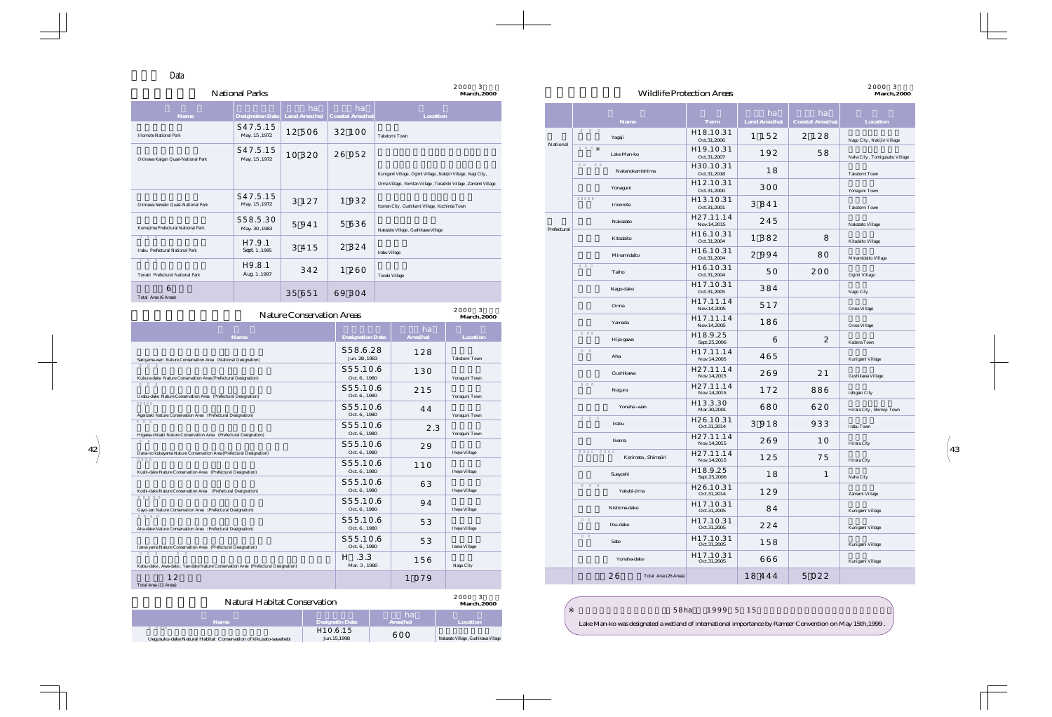# 2000年3月現在 2000年3月現在 Wildlife Protection Areas **March,2000 March,2000**

| <b>Natural Habitat Conservation</b>                             | 2000 3<br>March.2000                  |                |                                     |
|-----------------------------------------------------------------|---------------------------------------|----------------|-------------------------------------|
| <b>Name</b>                                                     | <b>Designatin Date</b>                | ha<br>Area(ha) | <b>Location</b>                     |
| Uegusuku-dake Natural Habitat Conservation of kikuzato-sawahebi | H <sub>10.6.15</sub><br>Jun. 15, 1998 | 600            | Nakazato Village, Gushikawa Village |

| ha<br><b>Coastal Area(ha)</b>   | Location                                                         |                     |             |                     |                          | ha            | ha                      |                               |
|---------------------------------|------------------------------------------------------------------|---------------------|-------------|---------------------|--------------------------|---------------|-------------------------|-------------------------------|
| 32 100                          |                                                                  |                     |             | Name                | <b>Term</b><br>H18.10.31 | Land Area(ha) | <b>Coastal Area(ha)</b> | Location                      |
|                                 | Taketomi Town                                                    |                     | National    | Yagaji              | Oct.31,2006              | 1 1 5 2       | 2 1 2 8                 | Nago City, Nakijin Village    |
| 26 052                          |                                                                  |                     |             | Lake Man-ko         | H19.10.31<br>Oct.31,2007 | 192           | 58                      | Naha City, Tomigusuku Village |
|                                 | Kunigami Village, Ogimi Village, Nakijin Village, Nagi City,     |                     |             | Nakanokamishima     | H30.10.31<br>Oct.31,2018 | 18            |                         | Taketomi Town                 |
|                                 | Onna Village, Yomitan Village, Tokashiki Village, Zamami Village |                     |             | Yonaguni            | H12.10.31<br>Oct.31,2000 | 300           |                         | Yonaguni Town                 |
| 1932                            | Itoman City, Gushikami Village, Kochinda Town                    |                     |             | Iriomote            | H13.10.31<br>Oct.31,2001 | 3841          |                         | Taketomi Town                 |
| 5636                            |                                                                  |                     |             | Nakazato            | H27.11.14<br>Nov.14,2015 | 245           |                         | Nakazato Village              |
|                                 | Nakazato Village, Gushikawa Village                              |                     | Prefectural | Kitadaito           | H16.10.31<br>Oct.31,2004 | 1 3 8 2       | 8                       | Kitadaito Village             |
| 2 3 2 4                         | Irabu Village                                                    |                     |             | Minamidaito         | H16.10.31<br>Oct.31,2004 | 2994          | 80                      | Minamidaito Village           |
| 1 260                           | Tonaki Village                                                   |                     |             | Taiho               | H16.10.31<br>Oct.31,2004 | 50            | 200                     | Ogimi Village                 |
| 69 304                          |                                                                  |                     |             | Nago-dake           | H17.10.31<br>Oct.31,2005 | 384           |                         | Nago City                     |
|                                 |                                                                  | 2000 3              |             | Onna                | H17.11.14<br>Nov.14,2005 | 517           |                         | Onna Village                  |
| on Areas                        | ha                                                               | <b>March</b> , 2000 |             | Yamada              | H17.11.14<br>Nov.14,2005 | 186           |                         | Onna Village                  |
| <b>Designation Date</b>         | Area(ha)                                                         | Location            |             | Hija-gawa           | H18.9.25<br>Sept.25,2006 | 6             | $\overline{2}$          | Kadena Town                   |
| S58.6.28<br>Jun. 28,1983        | 128                                                              | Taketomi Town       |             | Aha                 | H17.11.14<br>Nov.14,2005 | 465           |                         | Kunigami Village              |
| S55.10.6<br>Oct. 6, 1980        | 130                                                              | Yonaguni Town       |             | Gushikawa           | H27.11.14<br>Nov.14,2015 | 269           | 21                      | Gushikawa Village             |
| S55.10.6<br>Oct. $6$ , $1980\,$ | 215                                                              | Yonaguni Town       |             | Nagura              | H27.11.14<br>Nov.14,2015 | 172           | 886                     | Ishigaki City                 |
| S55.10.6<br>Oct. 6, 1980        | 44                                                               |                     |             | Yonaha -wan         | H13.3.30<br>Mar.30,2001  | 680           | 620                     | Hirara City, Shimoji Town     |
| S55.10.6                        | 2.3                                                              | Yonaguni Town       |             | Irabu               | H26.10.31<br>Oct.31,2014 | 3 9 1 8       | 933                     | Irabu Town                    |
| Oct. 6, 1980<br>S55.10.6        | 29                                                               | Yonaguni Town       |             | Ikema               | H27.11.14<br>Nov.14,2015 | 269           | 10                      | Hirara City                   |
| Oct. 6, 1980<br>S55.10.6        |                                                                  | Iheya Village       |             | Karimata, Shimajiri | H27.11.14<br>Nov.14,2015 | 125           | 75                      | Hirara City                   |
| Oct. 6, 1980                    | 110                                                              | Iheya Village       |             | Sueyoshi            | H18.9.25<br>Sept.25,2006 | 18            | $\mathbf{1}$            | Naha City                     |
| S55.10.6<br>Oct. $6$ , $1980\,$ | 63                                                               | Iheya Village       |             | Yakabi-jima         | H26.10.31<br>Oct.31,2014 | 129           |                         | Zamami Village                |
| S55.10.6<br>Oct. 6, 1980        | 94                                                               | Iheya Village       |             | Nishime-dake        | H17.10.31<br>Oct.31,2005 | 84            |                         | Kunigami Village              |
| S55.10.6<br>Oct. $6$ , $1980\,$ | 53                                                               | Iheya Village       |             | Ibu-dake            | H17.10.31<br>Oct.31,2005 | 224           |                         | Kunigami Village              |
| S55.10.6<br>Oct. $6$ , $1980\,$ | 53                                                               | Izena Village       |             | Sate                | H17.10.31<br>Oct.31,2005 | 158           |                         | Kunigami Village              |
| $H$ .3.3<br>Mar. 3, 1980        | 156                                                              | Nago City           |             | Yonaha-dake         | H17.10.31<br>Oct.31,2005 | 666           |                         | Kunigami Village              |
|                                 |                                                                  |                     |             |                     |                          |               |                         |                               |

| <b>Name</b>                         | <b>Desigination Date</b>           | ha<br>Land Area (ha) | ha<br><b>Coastal Area(ha)</b> | <b>Location</b>                                                                                                                  |
|-------------------------------------|------------------------------------|----------------------|-------------------------------|----------------------------------------------------------------------------------------------------------------------------------|
| <b>Iriomote National Park</b>       | S47.5.15<br>May. 15, 1972          | 12506                | 32 100                        | <b>Taketomi Town</b>                                                                                                             |
| Okinawa Kaigan Quasi-National Park  | S47.5.15<br>May. 15, 1972          | 10 3 20              | 26 052                        |                                                                                                                                  |
|                                     |                                    |                      |                               | Kunigami Village, Ogimi Village, Nakijin Village, Nagi City,<br>Onna Village, Yomitan Village, Tokashiki Village, Zamami Village |
| Okinawa Senseki Quasi-National Park | S47.5.15<br>May. 15, 1972          | 3 1 2 7              | 1932                          | Itoman City, Gushikami Village, Kochinda Town                                                                                    |
| Kumejima Prefectural National Park  | \$58.5.30<br>May. 30, 1983         | 5941                 | 5636                          | Nakazato Village, Gushikawa Village                                                                                              |
| Irabu Prefectural National Park     | H <sub>7.9.1</sub><br>Sept. 1,1995 | 3 4 1 5              | 2 3 2 4                       | Irabu Village                                                                                                                    |
| Tonaki Prefectural National Park    | H9.8.1<br>Aug. 1,1997              | 342                  | 1 260                         | Tonaki Village                                                                                                                   |
| 6<br>Total Area (6 Areas)           |                                    | 35 651               | 69 304                        |                                                                                                                                  |

| <b>Nature Conservation Areas</b>                                                  |                           |          | Onna<br>2000 3 |        |                             | Nov.14,2005              |          |                | Onna Village              |
|-----------------------------------------------------------------------------------|---------------------------|----------|----------------|--------|-----------------------------|--------------------------|----------|----------------|---------------------------|
|                                                                                   | <b>March</b> , 2000<br>ha |          |                | Yamada | H17.11.14<br>Nov.14,2005    | 186                      |          | Onna Village   |                           |
| <b>Name</b>                                                                       | <b>Designation Date</b>   | Area(ha) | Location       |        | Hija-gawa                   | H18.9.25<br>Sept.25,2006 | 6        | $\overline{2}$ | Kadena Town               |
| Sakiyama-wan Nature Conservation Area (National Designation)                      | S58.6.28<br>Jun. 28,1983  | 128      | Taketomi Town  |        | Aha                         | H17.11.14<br>Nov.14,2005 | 465      |                | Kunigami Village          |
| Kubura-dake Nature Conservation Area (Prefectural Designation)                    | S55.10.6<br>Oct. 6, 1980  | 130      | Yonaguni Town  |        | Gushikawa                   | H27.11.14<br>Nov.14,2015 | 269      | 21             | Gushikawa Village         |
| Urabu-dake Nature Conservation Area (Prefectural Designation)                     | S55.10.6<br>Oct. 6, 1980  | 215      | Yonaguni Town  |        | Nagura                      | H27.11.14<br>Nov.14,2015 | 172      | 886            | Ishigaki City             |
| Agarizaki Nature Conservation Area (Prefectural Designation)                      | S55.10.6<br>Oct. 6, 1980  | 44       | Yonaguni Town  |        | Yonaha -wan                 | H13.3.30<br>Mar.30,2001  | 680      | 620            | Hirara City, Shimoji Town |
| Higawa-chisaki Nature Conservation Area (Prefectural Designation)                 | S55.10.6<br>Oct. 6, 1980  | 2.3      | Yonaguni Town  |        | Irabu                       | H26.10.31<br>Oct.31,2014 | 3 9 1 8  | 933            | Irabu Town                |
|                                                                                   | S55.10.6<br>Oct. 6, 1980  | 29       | Iheya Village  |        | Ikema                       | H27.11.14<br>Nov.14,2015 | 269      | 10             | Hirara City               |
| Dana-no kubayama Nature Conservation Area (Prefectural Designation)               | S55.10.6                  | 110      |                |        | Karimata, Shimajiri         | H27.11.14<br>Nov.14,2015 | 125      | 75             | Hirara City               |
| Kushi-dake Nature Conservation Area (Prefectural Designation)                     | Oct. 6, 1980              |          | Iheya Village  |        | Sueyoshi                    | H18.9.25<br>Sept.25,2006 | 18       | $\mathbf{1}$   | Naha City                 |
| Koshi-dake Nature Conservation Area (Prefectural Designation)                     | S55.10.6<br>Oct. 6, 1980  | 63       | Iheya Village  |        | Yakabi-jima                 | H26.10.31<br>Oct.31,2014 | 129      |                | Zamami Village            |
| Gayo-zan Nature Conservation Area (Prefectural Designation)                       | S55.10.6<br>Oct. 6, 1980  | 94       | Iheya Village  |        | Nishime-dake                | H17.10.31<br>Oct.31,2005 | 84       |                | Kunigami Village          |
| Aha-dake Nature Conservation Area (Prefectural Designation)                       | S55.10.6<br>Oct. 6, 1980  | 53       | Iheya Village  |        | Ibu-dake                    | H17.10.31<br>Oct.31,2005 | 224      |                | Kunigami Village          |
| Izena-yama Nature Conservation Area (Prefectural Designation)                     | S55.10.6<br>Oct. 6, 1980  | 53       | Izena Village  |        | Sate                        | H17.10.31<br>Oct.31,2005 | 158      |                | Kunigami Village          |
| Katsu-dake, Awa-dake, Yae-dake Nature Conservation Area (Prefectural Designation) | $H$ .3.3<br>Mar. 3, 1980  | 156      | Nago City      |        | Yonaha-dake                 | H17.10.31<br>Oct.31,2005 | 666      |                | Kunigami Village          |
| 12<br>Total Area (12 Areas)                                                       |                           | 1 0 7 9  |                |        | 26<br>Total Area (26 Areas) |                          | 18 4 4 4 | 5 0 2 2        |                           |

| 58ha 1999 5 15                                                                                           |  |
|----------------------------------------------------------------------------------------------------------|--|
| Lake Man-ko was designated a wetland of international importance by Ramser Convention on May 15th, 1999. |  |



### National Parks

Data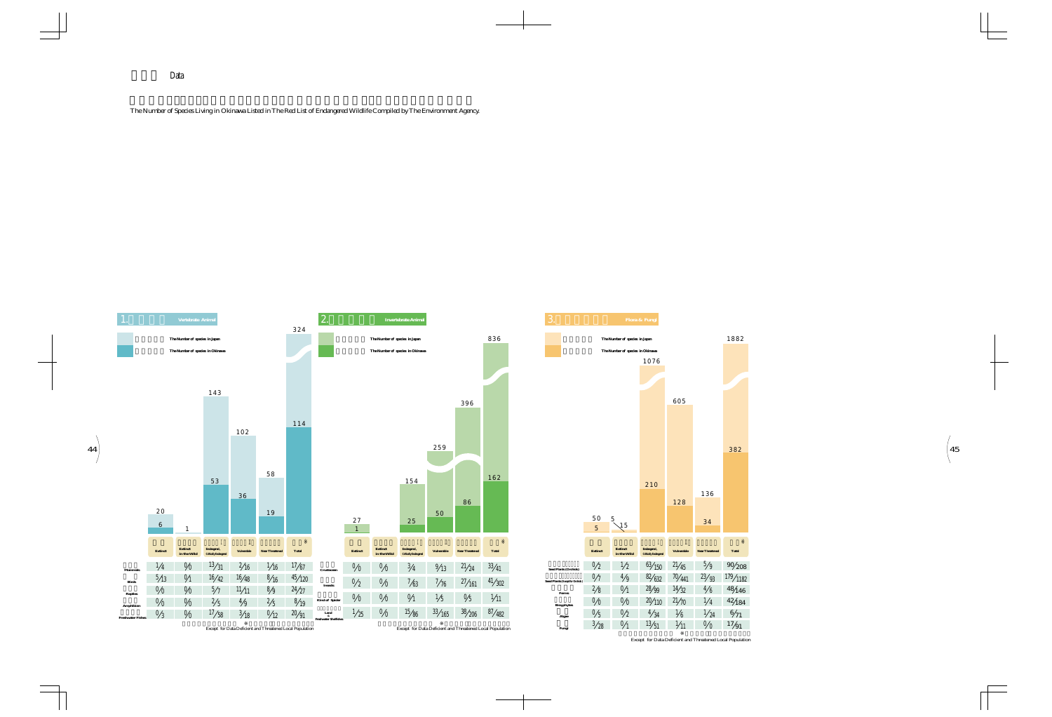

Except for Data Deficient and Threatened Local Population

Data

The Number of Species Living in Okinawa Listed in The Red List of Endangered Wildlife Compiled by The Environment Agency.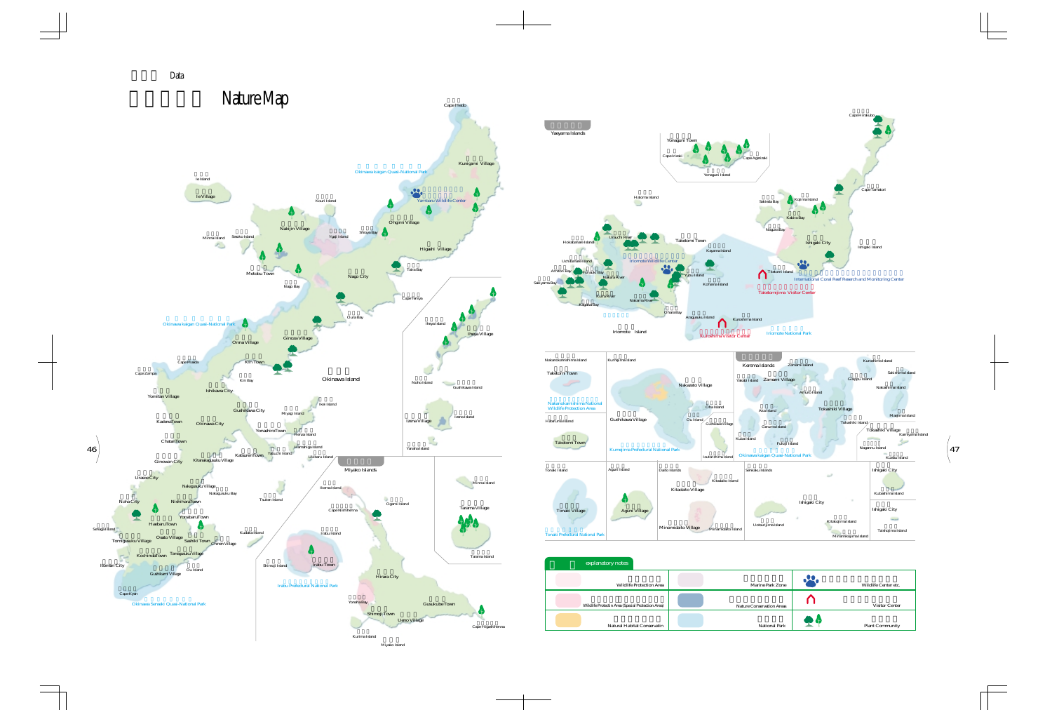

Miyako Island





Data